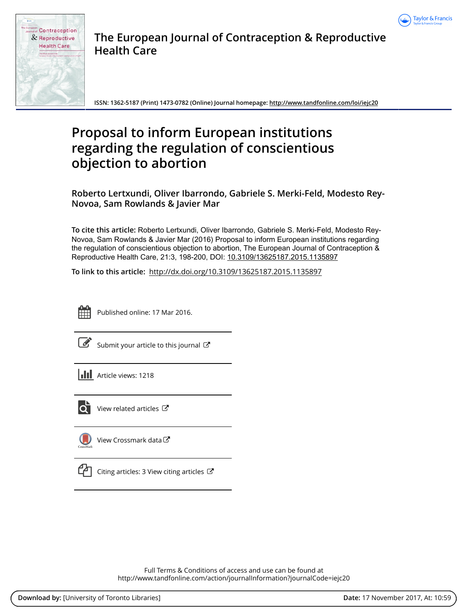



**The European Journal of Contraception & Reproductive Health Care**

**ISSN: 1362-5187 (Print) 1473-0782 (Online) Journal homepage:<http://www.tandfonline.com/loi/iejc20>**

# **Proposal to inform European institutions regarding the regulation of conscientious objection to abortion**

**Roberto Lertxundi, Oliver Ibarrondo, Gabriele S. Merki-Feld, Modesto Rey-Novoa, Sam Rowlands & Javier Mar**

**To cite this article:** Roberto Lertxundi, Oliver Ibarrondo, Gabriele S. Merki-Feld, Modesto Rey-Novoa, Sam Rowlands & Javier Mar (2016) Proposal to inform European institutions regarding the regulation of conscientious objection to abortion, The European Journal of Contraception & Reproductive Health Care, 21:3, 198-200, DOI: [10.3109/13625187.2015.1135897](http://www.tandfonline.com/action/showCitFormats?doi=10.3109/13625187.2015.1135897)

**To link to this article:** <http://dx.doi.org/10.3109/13625187.2015.1135897>



Published online: 17 Mar 2016.

|--|

[Submit your article to this journal](http://www.tandfonline.com/action/authorSubmission?journalCode=iejc20&show=instructions)  $\mathbb{Z}$ 

**Article views: 1218** 



 $\overline{\mathbf{Q}}$  [View related articles](http://www.tandfonline.com/doi/mlt/10.3109/13625187.2015.1135897)  $\mathbf{C}$ 

[View Crossmark data](http://crossmark.crossref.org/dialog/?doi=10.3109/13625187.2015.1135897&domain=pdf&date_stamp=2016-03-17) $\mathbb{Z}$ 



 $\Box$  [Citing articles: 3 View citing articles](http://www.tandfonline.com/doi/citedby/10.3109/13625187.2015.1135897#tabModule)  $\Box$ 

Full Terms & Conditions of access and use can be found at <http://www.tandfonline.com/action/journalInformation?journalCode=iejc20>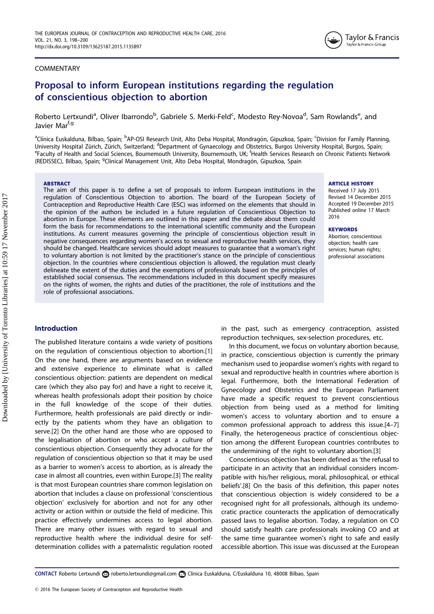

## COMMENTARY

## Proposal to inform European institutions regarding the regulation of conscientious objection to abortion

Roberto Lertxundi<sup>a</sup>, Oliver Ibarrondo<sup>b</sup>, Gabriele S. Merki-Feld<sup>c</sup>, Modesto Rey-Novoa<sup>d</sup>, Sam Rowlands<sup>e</sup>, and Javier Mar<sup>f,g</sup>

<sup>a</sup>Clínica Euskalduna, Bilbao, Spain; <sup>b</sup>AP-OSI Research Unit, Alto Deba Hospital, Mondragón, Gipuzkoa, Spain; <sup>c</sup>Division for Family Planning, University Hospital Zürich, Zürich, Switzerland; <sup>d</sup>Department of Gynaecology and Obstetrics, Burgos University Hospital, Burgos, Spain; et al., 2014)<br>EFaculty of Hoalth and Social Sciences, Bournomouth University, Bournom Faculty of Health and Social Sciences, Bournemouth University, Bournemouth, UK; Health Services Research on Chronic Patients Network (REDISSEC), Bilbao, Spain; <sup>g</sup>Clinical Management Unit, Alto Deba Hospital, Mondragón, Gipuzkoa, Spain

## **ABSTRACT**

The aim of this paper is to define a set of proposals to inform European institutions in the regulation of Conscientious Objection to abortion. The board of the European Society of Contraception and Reproductive Health Care (ESC) was informed on the elements that should in the opinion of the authors be included in a future regulation of Conscientious Objection to abortion in Europe. These elements are outlined in this paper and the debate about them could form the basis for recommendations to the international scientific community and the European institutions. As current measures governing the principle of conscientious objection result in negative consequences regarding women's access to sexual and reproductive health services, they should be changed. Healthcare services should adopt measures to guarantee that a woman's right to voluntary abortion is not limited by the practitioner's stance on the principle of conscientious objection. In the countries where conscientious objection is allowed, the regulation must clearly delineate the extent of the duties and the exemptions of professionals based on the principles of established social consensus. The recommendations included in this document specify measures on the rights of women, the rights and duties of the practitioner, the role of institutions and the role of professional associations.

#### ARTICLE HISTORY

Received 17 July 2015 Revised 14 December 2015 Accepted 19 December 2015 Published online 17 March 2016

#### **KEYWORDS**

Abortion; conscientious objection; health care services; human rights; professional associations

## Introduction

The published literature contains a wide variety of positions on the regulation of conscientious objection to abortion.[\[1\]](#page-3-0) On the one hand, there are arguments based on evidence and extensive experience to eliminate what is called conscientious objection: patients are dependent on medical care (which they also pay for) and have a right to receive it, whereas health professionals adopt their position by choice in the full knowledge of the scope of their duties. Furthermore, health professionals are paid directly or indirectly by the patients whom they have an obligation to serve.[\[2](#page-3-0)] On the other hand are those who are opposed to the legalisation of abortion or who accept a culture of conscientious objection. Consequently they advocate for the regulation of conscientious objection so that it may be used as a barrier to women's access to abortion, as is already the case in almost all countries, even within Europe.[\[3](#page-3-0)] The reality is that most European countries share common legislation on abortion that includes a clause on professional 'conscientious objection' exclusively for abortion and not for any other activity or action within or outside the field of medicine. This practice effectively undermines access to legal abortion. There are many other issues with regard to sexual and reproductive health where the individual desire for selfdetermination collides with a paternalistic regulation rooted

in the past, such as emergency contraception, assisted reproduction techniques, sex-selection procedures, etc.

In this document, we focus on voluntary abortion because, in practice, conscientious objection is currently the primary mechanism used to jeopardise women's rights with regard to sexual and reproductive health in countries where abortion is legal. Furthermore, both the International Federation of Gynecology and Obstetrics and the European Parliament have made a specific request to prevent conscientious objection from being used as a method for limiting women's access to voluntary abortion and to ensure a common professional approach to address this issue.[\[4–7\]](#page-3-0) Finally, the heterogeneous practice of conscientious objection among the different European countries contributes to the undermining of the right to voluntary abortion.[[3\]](#page-3-0)

Conscientious objection has been defined as 'the refusal to participate in an activity that an individual considers incompatible with his/her religious, moral, philosophical, or ethical beliefs'.[[8\]](#page-3-0) On the basis of this definition, this paper notes that conscientious objection is widely considered to be a recognised right for all professionals, although its undemocratic practice counteracts the application of democratically passed laws to legalise abortion. Today, a regulation on CO should satisfy health care professionals invoking CO and at the same time guarantee women's right to safe and easily accessible abortion. This issue was discussed at the European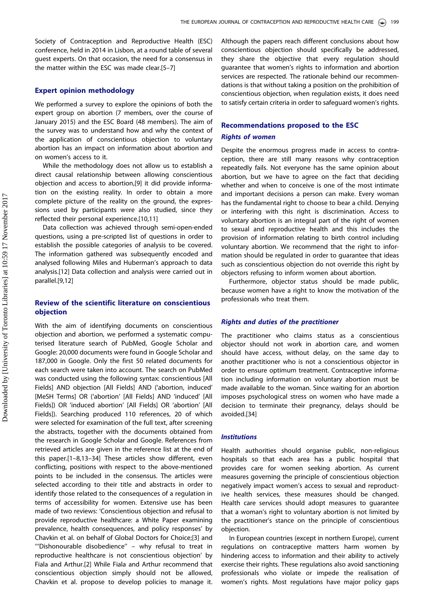Society of Contraception and Reproductive Health (ESC) conference, held in 2014 in Lisbon, at a round table of several guest experts. On that occasion, the need for a consensus in the matter within the ESC was made clear.[[5–7\]](#page-3-0)

## Expert opinion methodology

We performed a survey to explore the opinions of both the expert group on abortion (7 members, over the course of January 2015) and the ESC Board (48 members). The aim of the survey was to understand how and why the context of the application of conscientious objection to voluntary abortion has an impact on information about abortion and on women's access to it.

While the methodology does not allow us to establish a direct causal relationship between allowing conscientious objection and access to abortion,[\[9](#page-3-0)] it did provide information on the existing reality. In order to obtain a more complete picture of the reality on the ground, the expressions used by participants were also studied, since they reflected their personal experience.[[10,11](#page-3-0)]

Data collection was achieved through semi-open-ended questions, using a pre-scripted list of questions in order to establish the possible categories of analysis to be covered. The information gathered was subsequently encoded and analysed following Miles and Huberman's approach to data analysis.[\[12\]](#page-3-0) Data collection and analysis were carried out in parallel.[[9,12\]](#page-3-0)

## Review of the scientific literature on conscientious objection

With the aim of identifying documents on conscientious objection and abortion, we performed a systematic computerised literature search of PubMed, Google Scholar and Google: 20,000 documents were found in Google Scholar and 187,000 in Google. Only the first 50 related documents for each search were taken into account. The search on PubMed was conducted using the following syntax: conscientious [All Fields] AND objection [All Fields] AND ('abortion, induced' [MeSH Terms] OR ('abortion' [All Fields] AND 'induced' [All Fields]) OR 'induced abortion' [All Fields] OR 'abortion' [All Fields]). Searching produced 110 references, 20 of which were selected for examination of the full text, after screening the abstracts, together with the documents obtained from the research in Google Scholar and Google. References from retrieved articles are given in the reference list at the end of this paper.[\[1–8,13–34](#page-3-0)] These articles show different, even conflicting, positions with respect to the above-mentioned points to be included in the consensus. The articles were selected according to their title and abstracts in order to identify those related to the consequences of a regulation in terms of accessibility for women. Extensive use has been made of two reviews: 'Conscientious objection and refusal to provide reproductive healthcare: a White Paper examining prevalence, health consequences, and policy responses' by Chavkin et al. on behalf of Global Doctors for Choice;[\[3\]](#page-3-0) and '''Dishonourable disobedience'' – why refusal to treat in reproductive healthcare is not conscientious objection' by Fiala and Arthur.[\[2\]](#page-3-0) While Fiala and Arthur recommend that conscientious objection simply should not be allowed, Chavkin et al. propose to develop policies to manage it.

Although the papers reach different conclusions about how conscientious objection should specifically be addressed, they share the objective that every regulation should guarantee that women's rights to information and abortion services are respected. The rationale behind our recommendations is that without taking a position on the prohibition of conscientious objection, when regulation exists, it does need to satisfy certain criteria in order to safeguard women's rights.

## Recommendations proposed to the ESC

## Rights of women

Despite the enormous progress made in access to contraception, there are still many reasons why contraception repeatedly fails. Not everyone has the same opinion about abortion, but we have to agree on the fact that deciding whether and when to conceive is one of the most intimate and important decisions a person can make. Every woman has the fundamental right to choose to bear a child. Denying or interfering with this right is discrimination. Access to voluntary abortion is an integral part of the right of women to sexual and reproductive health and this includes the provision of information relating to birth control including voluntary abortion. We recommend that the right to information should be regulated in order to guarantee that ideas such as conscientious objection do not override this right by objectors refusing to inform women about abortion.

Furthermore, objector status should be made public, because women have a right to know the motivation of the professionals who treat them.

## Rights and duties of the practitioner

The practitioner who claims status as a conscientious objector should not work in abortion care, and women should have access, without delay, on the same day to another practitioner who is not a conscientious objector in order to ensure optimum treatment. Contraceptive information including information on voluntary abortion must be made available to the woman. Since waiting for an abortion imposes psychological stress on women who have made a decision to terminate their pregnancy, delays should be avoided.[\[34\]](#page-3-0)

## **Institutions**

Health authorities should organise public, non-religious hospitals so that each area has a public hospital that provides care for women seeking abortion. As current measures governing the principle of conscientious objection negatively impact women's access to sexual and reproductive health services, these measures should be changed. Health care services should adopt measures to guarantee that a woman's right to voluntary abortion is not limited by the practitioner's stance on the principle of conscientious objection.

In European countries (except in northern Europe), current regulations on contraceptive matters harm women by hindering access to information and their ability to actively exercise their rights. These regulations also avoid sanctioning professionals who violate or impede the realisation of women's rights. Most regulations have major policy gaps